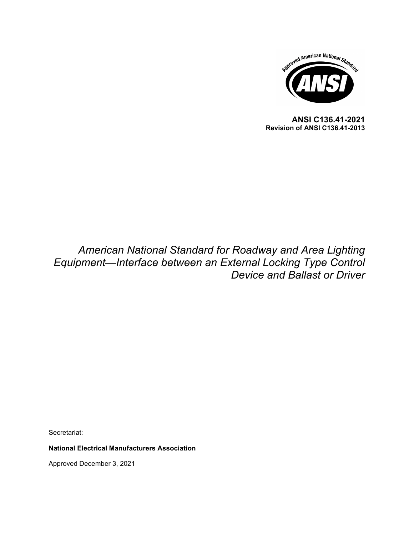

**ANSI C136.41-2021 Revision of ANSI C136.41-2013**

## *American National Standard for Roadway and Area Lighting Equipment—Interface between an External Locking Type Control Device and Ballast or Driver*

Secretariat:

**National Electrical Manufacturers Association**

Approved December 3, 2021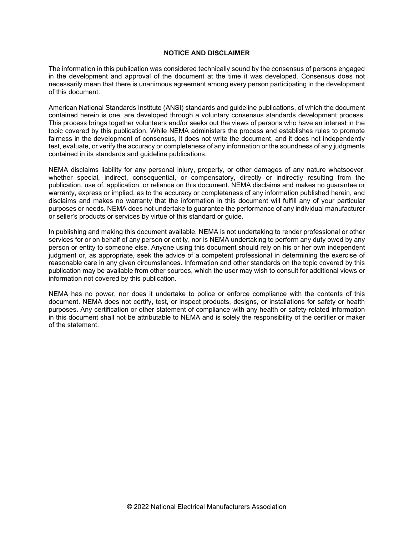#### **NOTICE AND DISCLAIMER**

The information in this publication was considered technically sound by the consensus of persons engaged in the development and approval of the document at the time it was developed. Consensus does not necessarily mean that there is unanimous agreement among every person participating in the development of this document.

American National Standards Institute (ANSI) standards and guideline publications, of which the document contained herein is one, are developed through a voluntary consensus standards development process. This process brings together volunteers and/or seeks out the views of persons who have an interest in the topic covered by this publication. While NEMA administers the process and establishes rules to promote fairness in the development of consensus, it does not write the document, and it does not independently test, evaluate, or verify the accuracy or completeness of any information or the soundness of any judgments contained in its standards and guideline publications.

NEMA disclaims liability for any personal injury, property, or other damages of any nature whatsoever, whether special, indirect, consequential, or compensatory, directly or indirectly resulting from the publication, use of, application, or reliance on this document. NEMA disclaims and makes no guarantee or warranty, express or implied, as to the accuracy or completeness of any information published herein, and disclaims and makes no warranty that the information in this document will fulfill any of your particular purposes or needs. NEMA does not undertake to guarantee the performance of any individual manufacturer or seller's products or services by virtue of this standard or guide.

In publishing and making this document available, NEMA is not undertaking to render professional or other services for or on behalf of any person or entity, nor is NEMA undertaking to perform any duty owed by any person or entity to someone else. Anyone using this document should rely on his or her own independent judgment or, as appropriate, seek the advice of a competent professional in determining the exercise of reasonable care in any given circumstances. Information and other standards on the topic covered by this publication may be available from other sources, which the user may wish to consult for additional views or information not covered by this publication.

NEMA has no power, nor does it undertake to police or enforce compliance with the contents of this document. NEMA does not certify, test, or inspect products, designs, or installations for safety or health purposes. Any certification or other statement of compliance with any health or safety-related information in this document shall not be attributable to NEMA and is solely the responsibility of the certifier or maker of the statement.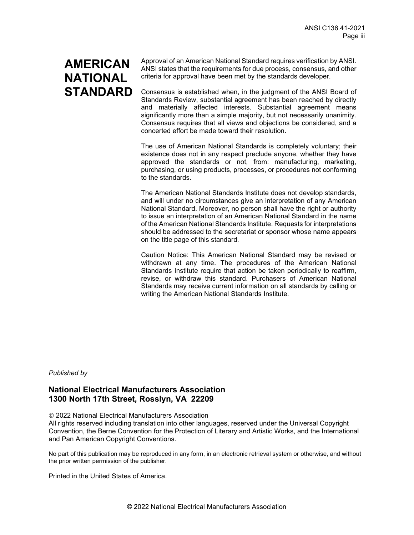# **AMERICAN NATIONAL STANDARD**

Approval of an American National Standard requires verification by ANSI. ANSI states that the requirements for due process, consensus, and other criteria for approval have been met by the standards developer.

Consensus is established when, in the judgment of the ANSI Board of Standards Review, substantial agreement has been reached by directly and materially affected interests. Substantial agreement means significantly more than a simple majority, but not necessarily unanimity. Consensus requires that all views and objections be considered, and a concerted effort be made toward their resolution.

The use of American National Standards is completely voluntary; their existence does not in any respect preclude anyone, whether they have approved the standards or not, from: manufacturing, marketing, purchasing, or using products, processes, or procedures not conforming to the standards.

The American National Standards Institute does not develop standards, and will under no circumstances give an interpretation of any American National Standard. Moreover, no person shall have the right or authority to issue an interpretation of an American National Standard in the name of the American National Standards Institute. Requests for interpretations should be addressed to the secretariat or sponsor whose name appears on the title page of this standard.

Caution Notice: This American National Standard may be revised or withdrawn at any time. The procedures of the American National Standards Institute require that action be taken periodically to reaffirm, revise, or withdraw this standard. Purchasers of American National Standards may receive current information on all standards by calling or writing the American National Standards Institute.

#### *Published by*

## **National Electrical Manufacturers Association 1300 North 17th Street, Rosslyn, VA 22209**

2022 National Electrical Manufacturers Association

All rights reserved including translation into other languages, reserved under the Universal Copyright Convention, the Berne Convention for the Protection of Literary and Artistic Works, and the International and Pan American Copyright Conventions.

No part of this publication may be reproduced in any form, in an electronic retrieval system or otherwise, and without the prior written permission of the publisher.

Printed in the United States of America.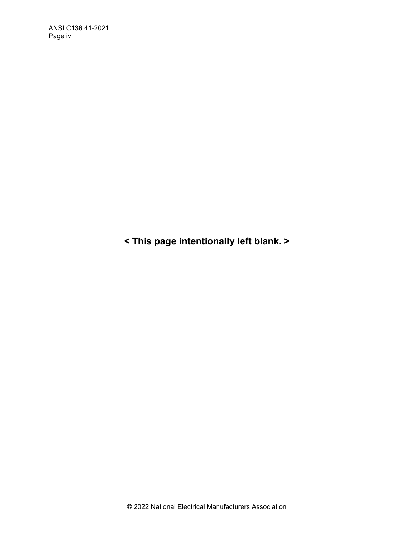**< This page intentionally left blank. >**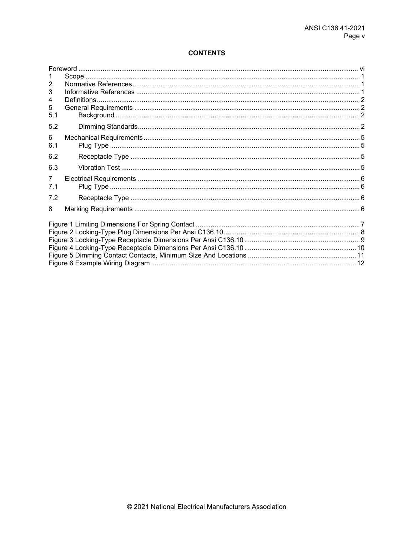## **CONTENTS**

| 2              |  |  |
|----------------|--|--|
| 3              |  |  |
| 4              |  |  |
| 5              |  |  |
| 5.1            |  |  |
| 5.2            |  |  |
| 6              |  |  |
| 6.1            |  |  |
| 6.2            |  |  |
| 6.3            |  |  |
| $\overline{7}$ |  |  |
| 7.1            |  |  |
| 7.2            |  |  |
| 8              |  |  |
|                |  |  |
|                |  |  |
|                |  |  |
|                |  |  |
|                |  |  |
|                |  |  |
|                |  |  |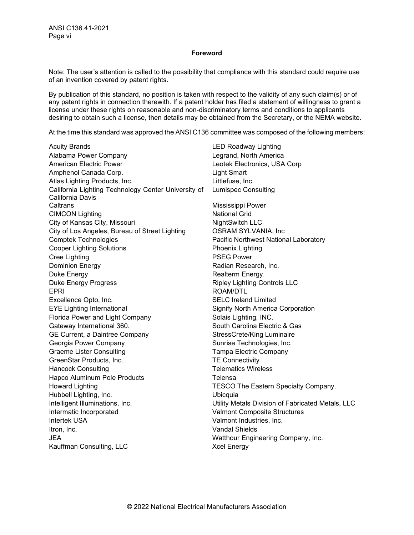#### **Foreword**

<span id="page-5-0"></span>Note: The user's attention is called to the possibility that compliance with this standard could require use of an invention covered by patent rights.

By publication of this standard, no position is taken with respect to the validity of any such claim(s) or of any patent rights in connection therewith. If a patent holder has filed a statement of willingness to grant a license under these rights on reasonable and non-discriminatory terms and conditions to applicants desiring to obtain such a license, then details may be obtained from the Secretary, or the NEMA website.

At the time this standard was approved the ANSI C136 committee was composed of the following members:

Acuity Brands **LED Roadway Lighting** Alabama Power Company Legrand, North America American Electric Power Leotek Electronics, USA Corp Amphenol Canada Corp. **Example 1** Light Smart Atlas Lighting Products, Inc. **Example 20** Littlefuse, Inc. California Lighting Technology Center University of California Davis Caltrans **Mississippi Power** CIMCON Lighting National Grid City of Kansas City, Missouri NightSwitch LLC City of Los Angeles, Bureau of Street Lighting OSRAM SYLVANIA, Inc Comptek Technologies **Pacific Northwest National Laboratory** Pacific Northwest National Laboratory Cooper Lighting Solutions **Phoenix Lighting** Cree Lighting **PSEG Power** Dominion Energy **Radian Research, Inc. Radian Research, Inc.** Duke Energy **Realterm Energy. Realterm Energy.** Duke Energy Progress **Ripley Lighting Controls LLC** EPRI ROAM/DTL Excellence Opto, Inc. SELC Ireland Limited EYE Lighting International Signify North America Corporation Florida Power and Light Company Solais Lighting, INC. Gateway International 360. Carolina Electric & Gas GE Current, a Daintree Company StressCrete/King Luminaire Georgia Power Company **Sunrise Technologies, Inc.** Sunrise Technologies, Inc. Graeme Lister Consulting Tampa Electric Company GreenStar Products, Inc. TE Connectivity Hancock Consulting Telematics Wireless Hapco Aluminum Pole Products Telensa Howard Lighting TESCO The Eastern Specialty Company. Hubbell Lighting, Inc. Ubicquia Intelligent Illuminations, Inc. Utility Metals Division of Fabricated Metals, LLC Intermatic Incorporated Valmont Composite Structures Intertek USA Valmont Industries, Inc. Itron, Inc. Vandal Shields JEA Watthour Engineering Company, Inc. Kauffman Consulting, LLC Xcel Energy

Lumispec Consulting